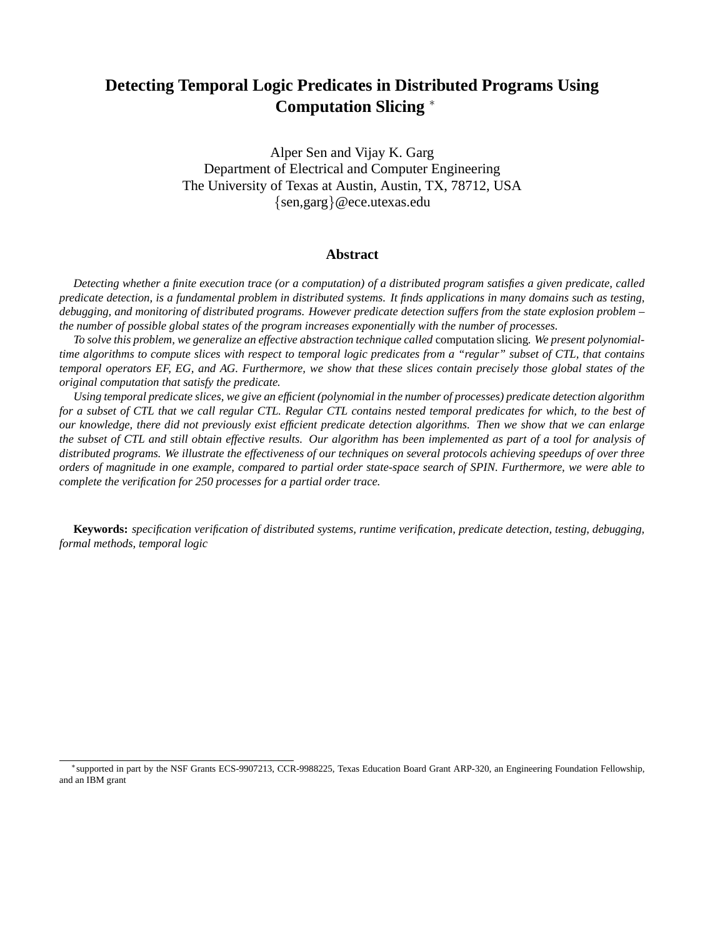# **Detecting Temporal Logic Predicates in Distributed Programs Using Computation Slicing** <sup>∗</sup>

Alper Sen and Vijay K. Garg Department of Electrical and Computer Engineering The University of Texas at Austin, Austin, TX, 78712, USA {sen,garg}@ece.utexas.edu

# **Abstract**

Detecting whether a finite execution trace (or a computation) of a distributed program satisfies a given predicate, called predicate detection, is a fundamental problem in distributed systems. It finds applications in many domains such as testing, debugging, and monitoring of distributed programs. However predicate detection suffers from the state explosion problem *the number of possible global states of the program increases exponentially with the number of processes.*

To solve this problem, we generalize an effective abstraction technique called computation slicing. We present polynomialtime algorithms to compute slices with respect to temporal logic predicates from a "regular" subset of CTL, that contains temporal operators EF, EG, and AG. Furthermore, we show that these slices contain precisely those global states of the *original computation that satisfy the predicate.*

Using temporal predicate slices, we give an efficient (polynomial in the number of processes) predicate detection algorithm for a subset of CTL that we call regular CTL. Regular CTL contains nested temporal predicates for which, to the best of our knowledge, there did not previously exist efficient predicate detection algorithms. Then we show that we can enlarge the subset of CTL and still obtain effective results. Our algorithm has been implemented as part of a tool for analysis of distributed programs. We illustrate the effectiveness of our techniques on several protocols achieving speedups of over three orders of magnitude in one example, compared to partial order state-space search of SPIN. Furthermore, we were able to *complete the verification for 250 processes for a partial order trace.*

**Keywords:** *specification verification of distributed systems, runtime verification, predicate detection, testing, debugging, formal methods, temporal logic*

<sup>∗</sup>supported in part by the NSF Grants ECS-9907213, CCR-9988225, Texas Education Board Grant ARP-320, an Engineering Foundation Fellowship, and an IBM grant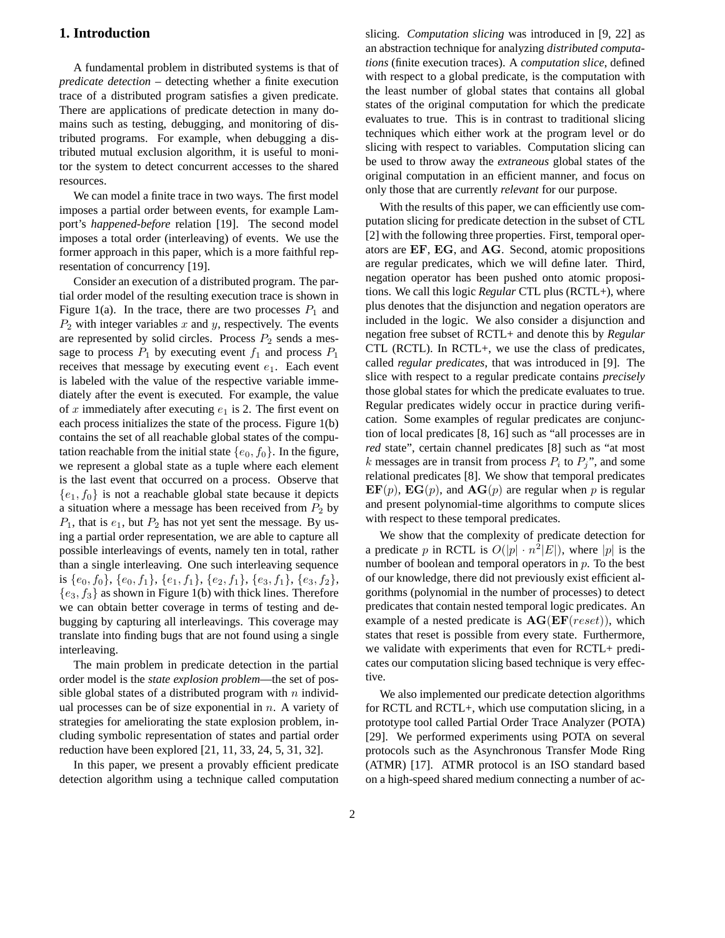# **1. Introduction**

A fundamental problem in distributed systems is that of *predicate detection* – detecting whether a finite execution trace of a distributed program satisfies a given predicate. There are applications of predicate detection in many domains such as testing, debugging, and monitoring of distributed programs. For example, when debugging a distributed mutual exclusion algorithm, it is useful to monitor the system to detect concurrent accesses to the shared resources.

We can model a finite trace in two ways. The first model imposes a partial order between events, for example Lamport's *happened-before* relation [19]. The second model imposes a total order (interleaving) of events. We use the former approach in this paper, which is a more faithful representation of concurrency [19].

Consider an execution of a distributed program. The partial order model of the resulting execution trace is shown in Figure 1(a). In the trace, there are two processes  $P_1$  and  $P_2$  with integer variables x and y, respectively. The events are represented by solid circles. Process  $P_2$  sends a message to process  $P_1$  by executing event  $f_1$  and process  $P_1$ receives that message by executing event  $e_1$ . Each event is labeled with the value of the respective variable immediately after the event is executed. For example, the value of x immediately after executing  $e_1$  is 2. The first event on each process initializes the state of the process. Figure 1(b) contains the set of all reachable global states of the computation reachable from the initial state  $\{e_0, f_0\}$ . In the figure, we represent a global state as a tuple where each element is the last event that occurred on a process. Observe that  ${e_1, f_0}$  is not a reachable global state because it depicts a situation where a message has been received from  $P_2$  by  $P_1$ , that is  $e_1$ , but  $P_2$  has not yet sent the message. By using a partial order representation, we are able to capture all possible interleavings of events, namely ten in total, rather than a single interleaving. One such interleaving sequence is  $\{e_0, f_0\}$ ,  $\{e_0, f_1\}$ ,  $\{e_1, f_1\}$ ,  $\{e_2, f_1\}$ ,  $\{e_3, f_1\}$ ,  $\{e_3, f_2\}$ ,  ${e_3, f_3}$  as shown in Figure 1(b) with thick lines. Therefore we can obtain better coverage in terms of testing and debugging by capturing all interleavings. This coverage may translate into finding bugs that are not found using a single interleaving.

The main problem in predicate detection in the partial order model is the *state explosion problem*—the set of possible global states of a distributed program with  $n$  individual processes can be of size exponential in  $n$ . A variety of strategies for ameliorating the state explosion problem, including symbolic representation of states and partial order reduction have been explored [21, 11, 33, 24, 5, 31, 32].

In this paper, we present a provably efficient predicate detection algorithm using a technique called computation

slicing. *Computation slicing* was introduced in [9, 22] as an abstraction technique for analyzing *distributed computations* (finite execution traces). A *computation slice*, defined with respect to a global predicate, is the computation with the least number of global states that contains all global states of the original computation for which the predicate evaluates to true. This is in contrast to traditional slicing techniques which either work at the program level or do slicing with respect to variables. Computation slicing can be used to throw away the *extraneous* global states of the original computation in an efficient manner, and focus on only those that are currently *relevant* for our purpose.

With the results of this paper, we can efficiently use computation slicing for predicate detection in the subset of CTL [2] with the following three properties. First, temporal operators are EF, EG, and AG. Second, atomic propositions are regular predicates, which we will define later. Third, negation operator has been pushed onto atomic propositions. We call this logic *Regular* CTL plus (RCTL+), where plus denotes that the disjunction and negation operators are included in the logic. We also consider a disjunction and negation free subset of RCTL+ and denote this by *Regular* CTL (RCTL). In  $\text{RCTL}_+$ , we use the class of predicates, called *regular predicates*, that was introduced in [9]. The slice with respect to a regular predicate contains *precisely* those global states for which the predicate evaluates to true. Regular predicates widely occur in practice during verification. Some examples of regular predicates are conjunction of local predicates [8, 16] such as "all processes are in *red* state", certain channel predicates [8] such as "at most k messages are in transit from process  $P_i$  to  $P_j$ ", and some relational predicates [8]. We show that temporal predicates  $\mathbf{E} \mathbf{F}(p)$ ,  $\mathbf{E} \mathbf{G}(p)$ , and  $\mathbf{A} \mathbf{G}(p)$  are regular when p is regular and present polynomial-time algorithms to compute slices with respect to these temporal predicates.

We show that the complexity of predicate detection for a predicate p in RCTL is  $O(|p| \cdot n^2|E|)$ , where  $|p|$  is the number of boolean and temporal operators in  $p$ . To the best of our knowledge, there did not previously exist efficient algorithms (polynomial in the number of processes) to detect predicates that contain nested temporal logic predicates. An example of a nested predicate is  $AG(EF(reset))$ , which states that reset is possible from every state. Furthermore, we validate with experiments that even for RCTL+ predicates our computation slicing based technique is very effective.

We also implemented our predicate detection algorithms for RCTL and RCTL+, which use computation slicing, in a prototype tool called Partial Order Trace Analyzer (POTA) [29]. We performed experiments using POTA on several protocols such as the Asynchronous Transfer Mode Ring (ATMR) [17]. ATMR protocol is an ISO standard based on a high-speed shared medium connecting a number of ac-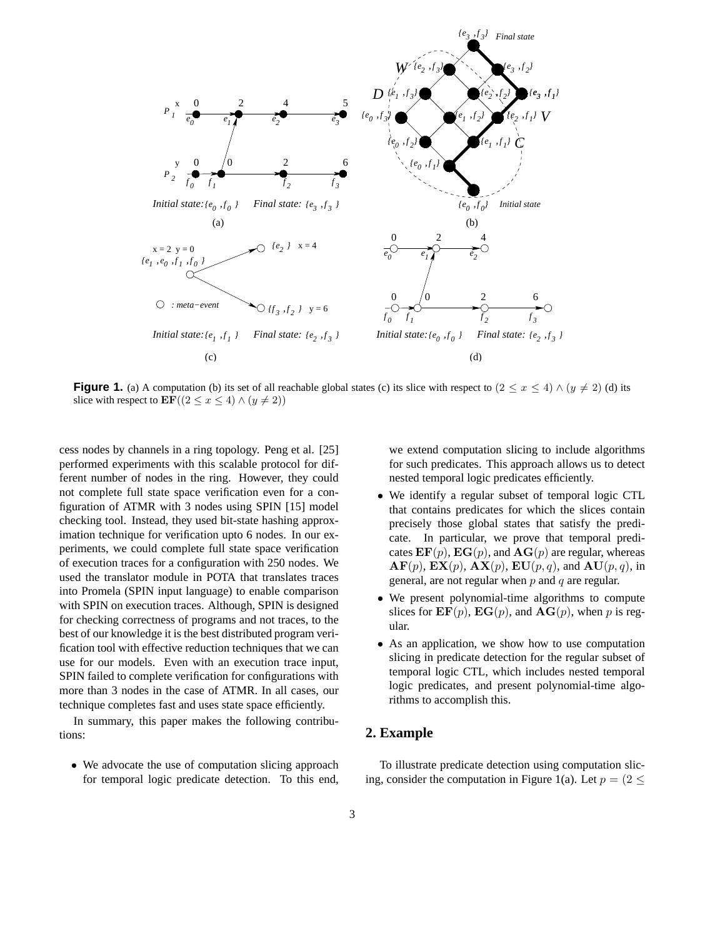

**Figure 1.** (a) A computation (b) its set of all reachable global states (c) its slice with respect to  $(2 \lt x \lt 4) \wedge (y \ne 2)$  (d) its slice with respect to  $\mathbf{EF}((2 \le x \le 4) \wedge (y \ne 2))$ 

cess nodes by channels in a ring topology. Peng et al. [25] performed experiments with this scalable protocol for different number of nodes in the ring. However, they could not complete full state space verification even for a configuration of ATMR with 3 nodes using SPIN [15] model checking tool. Instead, they used bit-state hashing approximation technique for verification upto 6 nodes. In our experiments, we could complete full state space verification of execution traces for a configuration with 250 nodes. We used the translator module in POTA that translates traces into Promela (SPIN input language) to enable comparison with SPIN on execution traces. Although, SPIN is designed for checking correctness of programs and not traces, to the best of our knowledge it is the best distributed program verification tool with effective reduction techniques that we can use for our models. Even with an execution trace input, SPIN failed to complete verification for configurations with more than 3 nodes in the case of ATMR. In all cases, our technique completes fast and uses state space efficiently.

In summary, this paper makes the following contributions:

• We advocate the use of computation slicing approach for temporal logic predicate detection. To this end, we extend computation slicing to include algorithms for such predicates. This approach allows us to detect nested temporal logic predicates efficiently.

- We identify a regular subset of temporal logic CTL that contains predicates for which the slices contain precisely those global states that satisfy the predicate. In particular, we prove that temporal predicates  $\mathbf{EF}(p)$ ,  $\mathbf{EG}(p)$ , and  $\mathbf{AG}(p)$  are regular, whereas  $AF(p), EX(p), AX(p), EU(p, q), and AU(p, q),$  in general, are not regular when  $p$  and  $q$  are regular.
- We present polynomial-time algorithms to compute slices for  $\mathbf{EF}(p)$ ,  $\mathbf{EG}(p)$ , and  $\mathbf{AG}(p)$ , when p is regular.
- As an application, we show how to use computation slicing in predicate detection for the regular subset of temporal logic CTL, which includes nested temporal logic predicates, and present polynomial-time algorithms to accomplish this.

#### **2. Example**

To illustrate predicate detection using computation slicing, consider the computation in Figure 1(a). Let  $p = (2 \le$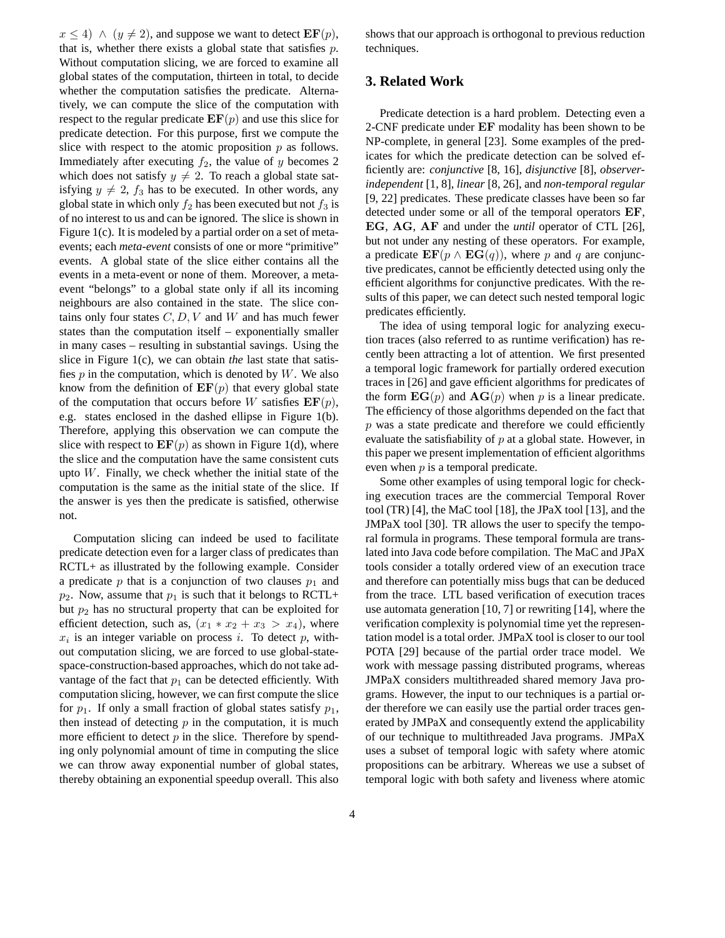$x \leq 4$ )  $\wedge$   $(y \neq 2)$ , and suppose we want to detect  $\mathbf{EF}(p)$ , that is, whether there exists a global state that satisfies  $p$ . Without computation slicing, we are forced to examine all global states of the computation, thirteen in total, to decide whether the computation satisfies the predicate. Alternatively, we can compute the slice of the computation with respect to the regular predicate  $\mathbf{EF}(p)$  and use this slice for predicate detection. For this purpose, first we compute the slice with respect to the atomic proposition  $p$  as follows. Immediately after executing  $f_2$ , the value of y becomes 2 which does not satisfy  $y \neq 2$ . To reach a global state satisfying  $y \neq 2$ ,  $f_3$  has to be executed. In other words, any global state in which only  $f_2$  has been executed but not  $f_3$  is of no interest to us and can be ignored. The slice is shown in Figure 1(c). It is modeled by a partial order on a set of metaevents; each *meta-event* consists of one or more "primitive" events. A global state of the slice either contains all the events in a meta-event or none of them. Moreover, a metaevent "belongs" to a global state only if all its incoming neighbours are also contained in the state. The slice contains only four states  $C, D, V$  and W and has much fewer states than the computation itself – exponentially smaller in many cases – resulting in substantial savings. Using the slice in Figure 1(c), we can obtain *the* last state that satisfies  $p$  in the computation, which is denoted by  $W$ . We also know from the definition of  $\mathbf{EF}(p)$  that every global state of the computation that occurs before W satisfies  $\mathbf{EF}(p)$ , e.g. states enclosed in the dashed ellipse in Figure 1(b). Therefore, applying this observation we can compute the slice with respect to  $\mathbf{EF}(p)$  as shown in Figure 1(d), where the slice and the computation have the same consistent cuts upto  $W$ . Finally, we check whether the initial state of the computation is the same as the initial state of the slice. If the answer is yes then the predicate is satisfied, otherwise not.

Computation slicing can indeed be used to facilitate predicate detection even for a larger class of predicates than RCTL+ as illustrated by the following example. Consider a predicate p that is a conjunction of two clauses  $p_1$  and  $p_2$ . Now, assume that  $p_1$  is such that it belongs to RCTL+ but  $p_2$  has no structural property that can be exploited for efficient detection, such as,  $(x_1 * x_2 + x_3 > x_4)$ , where  $x_i$  is an integer variable on process i. To detect p, without computation slicing, we are forced to use global-statespace-construction-based approaches, which do not take advantage of the fact that  $p_1$  can be detected efficiently. With computation slicing, however, we can first compute the slice for  $p_1$ . If only a small fraction of global states satisfy  $p_1$ , then instead of detecting  $p$  in the computation, it is much more efficient to detect  $p$  in the slice. Therefore by spending only polynomial amount of time in computing the slice we can throw away exponential number of global states, thereby obtaining an exponential speedup overall. This also

shows that our approach is orthogonal to previous reduction techniques.

# **3. Related Work**

Predicate detection is a hard problem. Detecting even a 2-CNF predicate under EF modality has been shown to be NP-complete, in general [23]. Some examples of the predicates for which the predicate detection can be solved efficiently are: *conjunctive* [8, 16], *disjunctive* [8], *observerindependent* [1, 8], *linear* [8, 26], and *non-temporal regular* [9, 22] predicates. These predicate classes have been so far detected under some or all of the temporal operators EF, EG, AG, AF and under the *until* operator of CTL [26], but not under any nesting of these operators. For example, a predicate  $\mathbf{EF}(p \wedge \mathbf{EG}(q))$ , where p and q are conjunctive predicates, cannot be efficiently detected using only the efficient algorithms for conjunctive predicates. With the results of this paper, we can detect such nested temporal logic predicates efficiently.

The idea of using temporal logic for analyzing execution traces (also referred to as runtime verification) has recently been attracting a lot of attention. We first presented a temporal logic framework for partially ordered execution traces in [26] and gave efficient algorithms for predicates of the form  $\mathbf{EG}(p)$  and  $\mathbf{AG}(p)$  when p is a linear predicate. The efficiency of those algorithms depended on the fact that  $p$  was a state predicate and therefore we could efficiently evaluate the satisfiability of  $p$  at a global state. However, in this paper we present implementation of efficient algorithms even when  $p$  is a temporal predicate.

Some other examples of using temporal logic for checking execution traces are the commercial Temporal Rover tool (TR) [4], the MaC tool [18], the JPaX tool [13], and the JMPaX tool [30]. TR allows the user to specify the temporal formula in programs. These temporal formula are translated into Java code before compilation. The MaC and JPaX tools consider a totally ordered view of an execution trace and therefore can potentially miss bugs that can be deduced from the trace. LTL based verification of execution traces use automata generation [10, 7] or rewriting [14], where the verification complexity is polynomial time yet the representation model is a total order. JMPaX tool is closer to our tool POTA [29] because of the partial order trace model. We work with message passing distributed programs, whereas JMPaX considers multithreaded shared memory Java programs. However, the input to our techniques is a partial order therefore we can easily use the partial order traces generated by JMPaX and consequently extend the applicability of our technique to multithreaded Java programs. JMPaX uses a subset of temporal logic with safety where atomic propositions can be arbitrary. Whereas we use a subset of temporal logic with both safety and liveness where atomic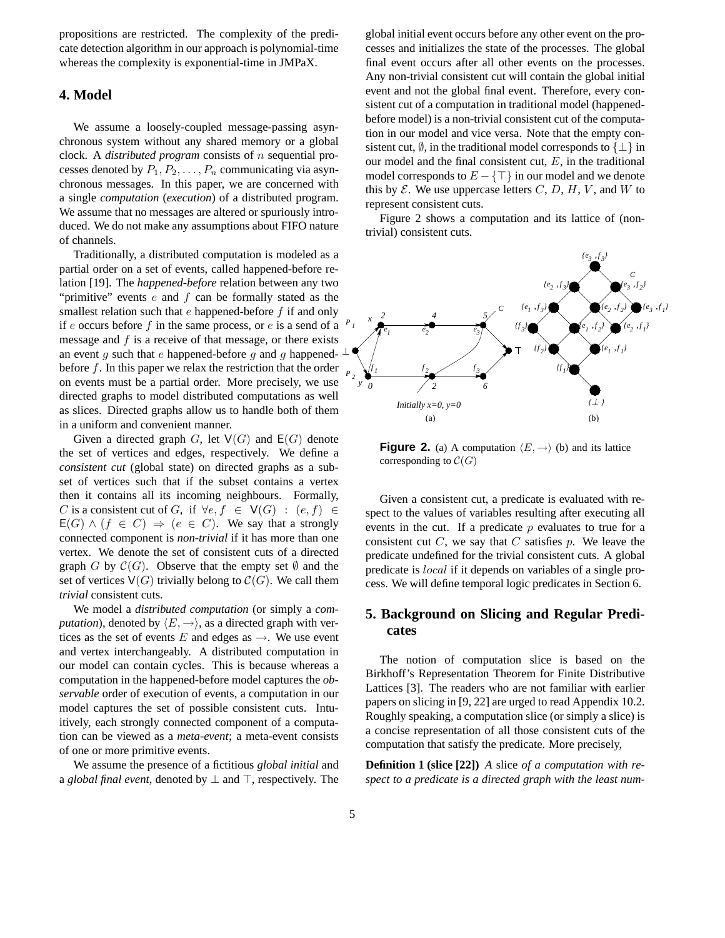propositions are restricted. The complexity of the predicate detection algorithm in our approach is polynomial-time whereas the complexity is exponential-time in JMPaX.

## **4. Model**

We assume a loosely-coupled message-passing asynchronous system without any shared memory or a global clock. A *distributed program* consists of n sequential processes denoted by  $P_1, P_2, \ldots, P_n$  communicating via asynchronous messages. In this paper, we are concerned with a single *computation* (*execution*) of a distributed program. We assume that no messages are altered or spuriously introduced. We do not make any assumptions about FIFO nature of channels.

Traditionally, a distributed computation is modeled as a partial order on a set of events, called happened-before relation [19]. The *happened-before* relation between any two "primitive" events  $e$  and  $f$  can be formally stated as the smallest relation such that  $e$  happened-before  $f$  if and only if  $e$  occurs before  $f$  in the same process, or  $e$  is a send of a message and f is a receive of that message, or there exists an event g such that e happened-before g and g happened- $\perp$ before  $f$ . In this paper we relax the restriction that the order on events must be a partial order. More precisely, we use directed graphs to model distributed computations as well as slices. Directed graphs allow us to handle both of them in a uniform and convenient manner.

Given a directed graph G, let  $V(G)$  and  $E(G)$  denote the set of vertices and edges, respectively. We define a *consistent cut* (global state) on directed graphs as a subset of vertices such that if the subset contains a vertex then it contains all its incoming neighbours. Formally, C is a consistent cut of G, if  $\forall e, f \in V(G) : (e, f) \in$  $E(G) \wedge (f \in C) \Rightarrow (e \in C)$ . We say that a strongly connected component is *non-trivial* if it has more than one vertex. We denote the set of consistent cuts of a directed graph G by  $\mathcal{C}(G)$ . Observe that the empty set  $\emptyset$  and the set of vertices  $V(G)$  trivially belong to  $C(G)$ . We call them *trivial* consistent cuts.

We model a *distributed computation* (or simply a *computation*), denoted by  $\langle E, \rightarrow \rangle$ , as a directed graph with vertices as the set of events E and edges as  $\rightarrow$ . We use event and vertex interchangeably. A distributed computation in our model can contain cycles. This is because whereas a computation in the happened-before model captures the *observable* order of execution of events, a computation in our model captures the set of possible consistent cuts. Intuitively, each strongly connected component of a computation can be viewed as a *meta-event*; a meta-event consists of one or more primitive events.

We assume the presence of a fictitious *global initial* and a *global* final *event*, denoted by  $\perp$  and  $\top$ , respectively. The

global initial event occurs before any other event on the processes and initializes the state of the processes. The global final event occurs after all other events on the processes. Any non-trivial consistent cut will contain the global initial event and not the global final event. Therefore, every consistent cut of a computation in traditional model (happenedbefore model) is a non-trivial consistent cut of the computation in our model and vice versa. Note that the empty consistent cut,  $\emptyset$ , in the traditional model corresponds to  $\{\perp\}$  in our model and the final consistent cut,  $E$ , in the traditional model corresponds to  $E - \{\top\}$  in our model and we denote this by  $\mathcal E$ . We use uppercase letters  $C, D, H, V$ , and  $W$  to represent consistent cuts.

Figure 2 shows a computation and its lattice of (nontrivial) consistent cuts.



**Figure 2.** (a) A computation  $\langle E, \rightarrow \rangle$  (b) and its lattice corresponding to  $\mathcal{C}(G)$ 

Given a consistent cut, a predicate is evaluated with respect to the values of variables resulting after executing all events in the cut. If a predicate  $p$  evaluates to true for a consistent cut  $C$ , we say that  $C$  satisfies  $p$ . We leave the predicate undefined for the trivial consistent cuts. A global predicate is local if it depends on variables of a single process. We will define temporal logic predicates in Section 6.

# **5. Background on Slicing and Regular Predicates**

The notion of computation slice is based on the Birkhoff's Representation Theorem for Finite Distributive Lattices [3]. The readers who are not familiar with earlier papers on slicing in [9, 22] are urged to read Appendix 10.2. Roughly speaking, a computation slice (or simply a slice) is a concise representation of all those consistent cuts of the computation that satisfy the predicate. More precisely,

**Definition 1 (slice [22])** *A* slice *of a computation with respect to a predicate is a directed graph with the least num-*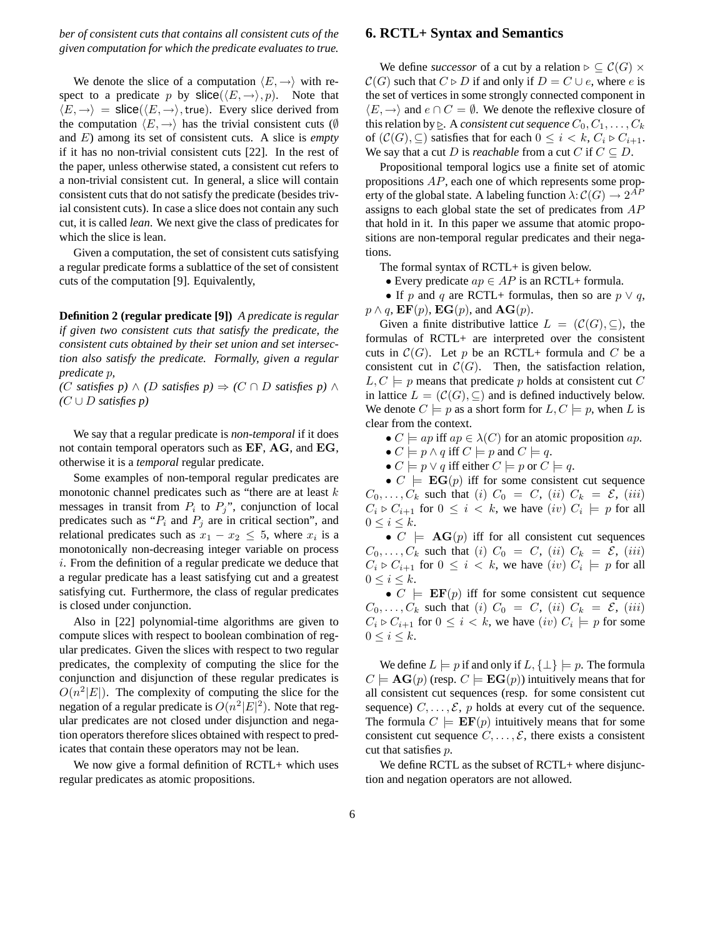*ber of consistent cuts that contains all consistent cuts of the given computation for which the predicate evaluates to true.*

We denote the slice of a computation  $\langle E,\rightarrow\rangle$  with respect to a predicate p by  $\textsf{slice}(\langle E,\to\rangle, p)$ . Note that  $\langle E,\rightarrow\rangle$  = slice( $\langle E,\rightarrow\rangle$ , true). Every slice derived from the computation  $\langle E, \rightarrow \rangle$  has the trivial consistent cuts (Ø and E) among its set of consistent cuts. A slice is *empty* if it has no non-trivial consistent cuts [22]. In the rest of the paper, unless otherwise stated, a consistent cut refers to a non-trivial consistent cut. In general, a slice will contain consistent cuts that do not satisfy the predicate (besides trivial consistent cuts). In case a slice does not contain any such cut, it is called *lean*. We next give the class of predicates for which the slice is lean.

Given a computation, the set of consistent cuts satisfying a regular predicate forms a sublattice of the set of consistent cuts of the computation [9]. Equivalently,

**Definition 2 (regular predicate [9])** *A predicate is regular if given two consistent cuts that satisfy the predicate, the consistent cuts obtained by their set union and set intersection also satisfy the predicate. Formally, given a regular predicate* p*,*

*(*C *satisfies p)* ∧ *(*D *satisfies p)* ⇒ *(*C ∩ D *satisfies p)* ∧ *(*C ∪ D *satisfies p)*

We say that a regular predicate is *non-temporal* if it does not contain temporal operators such as EF, AG, and EG, otherwise it is a *temporal* regular predicate.

Some examples of non-temporal regular predicates are monotonic channel predicates such as "there are at least  $k$ messages in transit from  $P_i$  to  $P_j$ ", conjunction of local predicates such as " $P_i$  and  $P_j$  are in critical section", and relational predicates such as  $x_1 - x_2 \leq 5$ , where  $x_i$  is a monotonically non-decreasing integer variable on process i. From the definition of a regular predicate we deduce that a regular predicate has a least satisfying cut and a greatest satisfying cut. Furthermore, the class of regular predicates is closed under conjunction.

Also in [22] polynomial-time algorithms are given to compute slices with respect to boolean combination of regular predicates. Given the slices with respect to two regular predicates, the complexity of computing the slice for the conjunction and disjunction of these regular predicates is  $O(n^2|E|)$ . The complexity of computing the slice for the negation of a regular predicate is  $O(n^2|E|^2)$ . Note that regular predicates are not closed under disjunction and negation operators therefore slices obtained with respect to predicates that contain these operators may not be lean.

We now give a formal definition of RCTL+ which uses regular predicates as atomic propositions.

#### **6. RCTL+ Syntax and Semantics**

We define *successor* of a cut by a relation  $\triangleright \subseteq C(G) \times$  $C(G)$  such that  $C \triangleright D$  if and only if  $D = C \cup e$ , where e is the set of vertices in some strongly connected component in  $\langle E,\rightarrow\rangle$  and  $e \cap C = \emptyset$ . We denote the reflexive closure of this relation by  $\triangleright$ . A *consistent cut sequence*  $C_0, C_1, \ldots, C_k$ of  $(C(G), \subseteq)$  satisfies that for each  $0 \leq i \leq k$ ,  $C_i \triangleright C_{i+1}$ . We say that a cut D is *reachable* from a cut C if  $C \subseteq D$ .

Propositional temporal logics use a finite set of atomic propositions AP, each one of which represents some property of the global state. A labeling function  $\lambda$ :  $\mathcal{C}(G) \to 2^{AF}$ assigns to each global state the set of predicates from AP that hold in it. In this paper we assume that atomic propositions are non-temporal regular predicates and their negations.

The formal syntax of RCTL+ is given below.

• Every predicate  $ap \in AP$  is an RCTL+ formula.

• If p and q are RCTL+ formulas, then so are  $p \vee q$ ,  $p \wedge q$ ,  $\mathbf{EF}(p)$ ,  $\mathbf{EG}(p)$ , and  $\mathbf{AG}(p)$ .

Given a finite distributive lattice  $L = (\mathcal{C}(G), \subseteq)$ , the formulas of RCTL+ are interpreted over the consistent cuts in  $\mathcal{C}(G)$ . Let p be an RCTL+ formula and C be a consistent cut in  $\mathcal{C}(G)$ . Then, the satisfaction relation,  $L, C \models p$  means that predicate p holds at consistent cut C in lattice  $L = (\mathcal{C}(G), \subseteq)$  and is defined inductively below. We denote  $C \models p$  as a short form for  $L, C \models p$ , when L is clear from the context.

•  $C \models ap$  iff  $ap \in \lambda(C)$  for an atomic proposition  $ap$ .

•  $C \models p \land q$  iff  $C \models p$  and  $C \models q$ .

•  $C \models p \lor q$  iff either  $C \models p$  or  $C \models q$ .

•  $C \models EG(p)$  iff for some consistent cut sequence  $C_0, \ldots, C_k$  such that (i)  $C_0 = C$ , (ii)  $C_k = \mathcal{E}$ , (iii)  $C_i \triangleright C_{i+1}$  for  $0 \leq i \leq k$ , we have  $(iv)$   $C_i \models p$  for all  $0 \leq i \leq k$ .

•  $C \models \mathbf{AG}(p)$  iff for all consistent cut sequences  $C_0, \ldots, C_k$  such that (i)  $C_0 = C$ , (ii)  $C_k = \mathcal{E}$ , (iii)  $C_i \triangleright C_{i+1}$  for  $0 \leq i \leq k$ , we have  $(iv)$   $C_i \models p$  for all  $0 \leq i \leq k$ .

•  $C \models \mathbf{EF}(p)$  iff for some consistent cut sequence  $C_0, \ldots, C_k$  such that (i)  $C_0 = C$ , (ii)  $C_k = \mathcal{E}$ , (iii)  $C_i \triangleright C_{i+1}$  for  $0 \leq i < k$ , we have  $(iv)$   $C_i \models p$  for some  $0 \leq i \leq k$ .

We define  $L \models p$  if and only if  $L, \{\perp\} \models p$ . The formula  $C \models \mathbf{AG}(p)$  (resp.  $C \models \mathbf{EG}(p)$ ) intuitively means that for all consistent cut sequences (resp. for some consistent cut sequence)  $C, \ldots, \mathcal{E}, p$  holds at every cut of the sequence. The formula  $C \models \mathbf{EF}(p)$  intuitively means that for some consistent cut sequence  $C, \ldots, \mathcal{E}$ , there exists a consistent cut that satisfies p.

We define RCTL as the subset of RCTL+ where disjunction and negation operators are not allowed.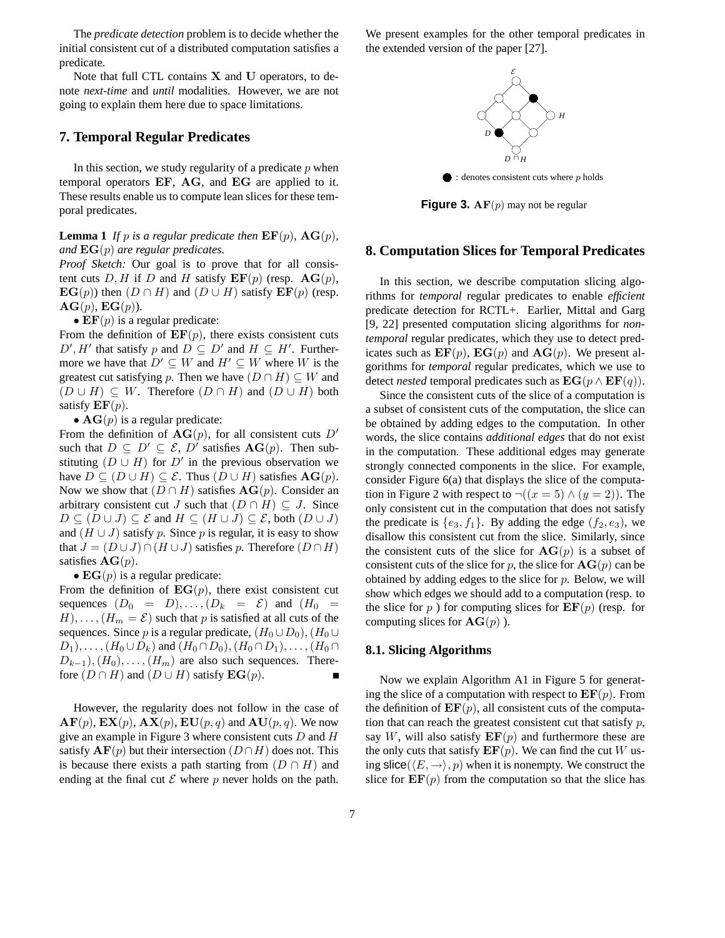The *predicate detection* problem is to decide whether the initial consistent cut of a distributed computation satisfies a predicate.

Note that full CTL contains  $X$  and  $U$  operators, to denote *next-time* and *until* modalities. However, we are not going to explain them here due to space limitations.

#### **7. Temporal Regular Predicates**

In this section, we study regularity of a predicate  $p$  when temporal operators EF, AG, and EG are applied to it. These results enable us to compute lean slices for these temporal predicates.

**Lemma** 1 *If p is a regular predicate then*  $\mathbf{EF}(p)$ *,*  $\mathbf{AG}(p)$ *, and* EG(p) *are regular predicates.*

*Proof Sketch:* Our goal is to prove that for all consistent cuts D, H if D and H satisfy  $\mathbf{EF}(p)$  (resp.  $\mathbf{AG}(p)$ ,  $\mathbf{EG}(p)$ ) then  $(D \cap H)$  and  $(D \cup H)$  satisfy  $\mathbf{EF}(p)$  (resp.  $AG(p), EG(p).$ 

•  $\mathbf{EF}(p)$  is a regular predicate:

From the definition of  $\mathbf{EF}(p)$ , there exists consistent cuts  $D', H'$  that satisfy p and  $\overrightarrow{D} \subseteq D'$  and  $H \subseteq H'$ . Furthermore we have that  $D' \subseteq W$  and  $H' \subseteq W$  where W is the greatest cut satisfying p. Then we have  $(D \cap H) \subseteq W$  and  $(D \cup H) \subseteq W$ . Therefore  $(D \cap H)$  and  $(D \cup H)$  both satisfy  $EF(p)$ .

•  $AG(p)$  is a regular predicate:

From the definition of  $AG(p)$ , for all consistent cuts D' such that  $D \subseteq D' \subseteq \mathcal{E}$ ,  $D'$  satisfies  $\mathbf{AG}(p)$ . Then substituting  $(D \cup H)$  for  $D'$  in the previous observation we have  $D \subseteq (D \cup H) \subseteq \mathcal{E}$ . Thus  $(D \cup H)$  satisfies  $\mathbf{AG}(p)$ . Now we show that  $(D \cap H)$  satisfies  $AG(p)$ . Consider an arbitrary consistent cut J such that  $(D \cap H) \subseteq J$ . Since  $D \subseteq (D \cup J) \subseteq \mathcal{E}$  and  $H \subseteq (H \cup J) \subseteq \mathcal{E}$ , both  $(D \cup J)$ and  $(H \cup J)$  satisfy p. Since p is regular, it is easy to show that  $J = (D \cup J) \cap (H \cup J)$  satisfies p. Therefore  $(D \cap H)$ satisfies  $AG(p)$ .

•  $EG(p)$  is a regular predicate:

From the definition of  $EG(p)$ , there exist consistent cut sequences  $(D_0 = D), \ldots, (D_k = \mathcal{E})$  and  $(H_0 =$  $H$ ,...,  $(H_m = \mathcal{E})$  such that p is satisfied at all cuts of the sequences. Since p is a regular predicate,  $(H_0 \cup D_0), (H_0 \cup$  $(D_1), \ldots, (H_0 \cup D_k)$  and  $(H_0 \cap D_0), (H_0 \cap D_1), \ldots, (H_0 \cap D_k)$  $D_{k-1}$ ,  $(H_0)$ , ...,  $(H_m)$  are also such sequences. Therefore  $(D \cap H)$  and  $(D \cup H)$  satisfy  $EG(p)$ .  $\blacksquare$ 

However, the regularity does not follow in the case of  $AF(p), EX(p), AX(p), EU(p, q)$  and  $AU(p, q)$ . We now give an example in Figure 3 where consistent cuts  $D$  and  $H$ satisfy  $AF(p)$  but their intersection  $(D \cap H)$  does not. This is because there exists a path starting from  $(D \cap H)$  and ending at the final cut  $\mathcal E$  where p never holds on the path.

We present examples for the other temporal predicates in the extended version of the paper [27].



 $\bullet$ : denotes consistent cuts where p holds

**Figure 3.** AF(p) may not be regular

#### **8. Computation Slices for Temporal Predicates**

In this section, we describe computation slicing algorithms for *temporal* regular predicates to enable *efficient* predicate detection for RCTL+. Earlier, Mittal and Garg [9, 22] presented computation slicing algorithms for *nontemporal* regular predicates, which they use to detect predicates such as  $\mathbf{EF}(p)$ ,  $\mathbf{EG}(p)$  and  $\mathbf{AG}(p)$ . We present algorithms for *temporal* regular predicates, which we use to detect *nested* temporal predicates such as  $EG(p \wedge EF(q))$ .

Since the consistent cuts of the slice of a computation is a subset of consistent cuts of the computation, the slice can be obtained by adding edges to the computation. In other words, the slice contains *additional edges* that do not exist in the computation. These additional edges may generate strongly connected components in the slice. For example, consider Figure 6(a) that displays the slice of the computation in Figure 2 with respect to  $\neg((x=5) \land (y=2))$ . The only consistent cut in the computation that does not satisfy the predicate is  $\{e_3, f_1\}$ . By adding the edge  $(f_2, e_3)$ , we disallow this consistent cut from the slice. Similarly, since the consistent cuts of the slice for  $AG(p)$  is a subset of consistent cuts of the slice for p, the slice for  $\mathbf{AG}(p)$  can be obtained by adding edges to the slice for  $p$ . Below, we will show which edges we should add to a computation (resp. to the slice for p ) for computing slices for  $\mathbf{EF}(p)$  (resp. for computing slices for  $AG(p)$ ).

#### **8.1. Slicing Algorithms**

Now we explain Algorithm A1 in Figure 5 for generating the slice of a computation with respect to  $\mathbf{EF}(p)$ . From the definition of  $\mathbf{EF}(p)$ , all consistent cuts of the computation that can reach the greatest consistent cut that satisfy  $p$ , say W, will also satisfy  $\mathbf{EF}(p)$  and furthermore these are the only cuts that satisfy  $\mathbf{EF}(p)$ . We can find the cut W using slice( $\langle E,\rightarrow\rangle$ , p) when it is nonempty. We construct the slice for  $\mathbf{EF}(p)$  from the computation so that the slice has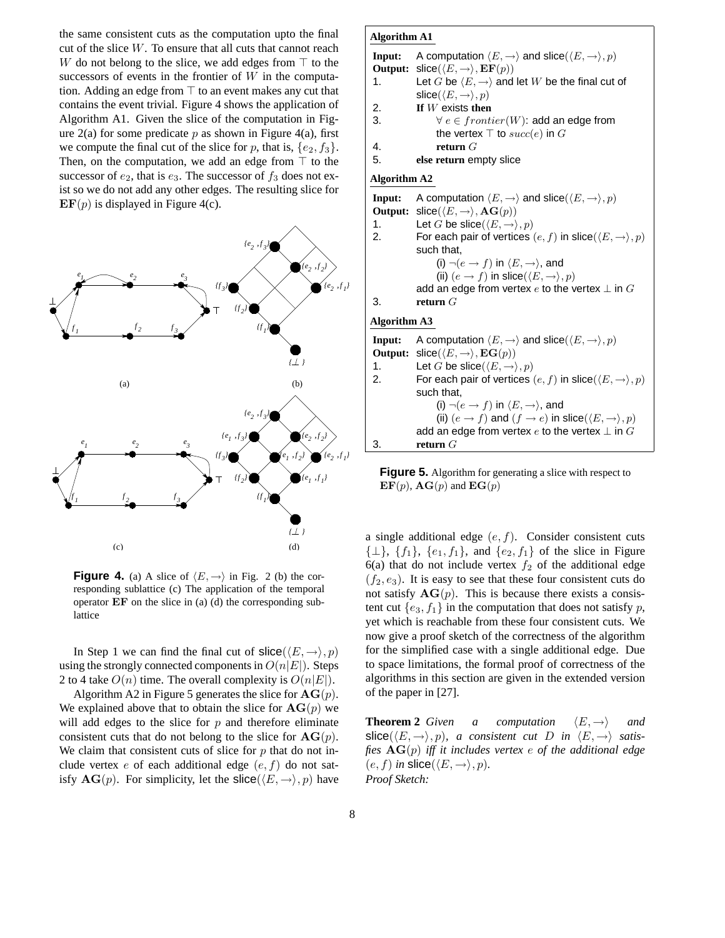the same consistent cuts as the computation upto the final cut of the slice  $W$ . To ensure that all cuts that cannot reach W do not belong to the slice, we add edges from  $\top$  to the successors of events in the frontier of  $W$  in the computation. Adding an edge from  $\top$  to an event makes any cut that contains the event trivial. Figure 4 shows the application of Algorithm A1. Given the slice of the computation in Figure  $2(a)$  for some predicate p as shown in Figure 4(a), first we compute the final cut of the slice for p, that is,  $\{e_2, f_3\}$ . Then, on the computation, we add an edge from  $\top$  to the successor of  $e_2$ , that is  $e_3$ . The successor of  $f_3$  does not exist so we do not add any other edges. The resulting slice for  $\mathbf{EF}(p)$  is displayed in Figure 4(c).



**Figure 4.** (a) A slice of  $\langle E, \rightarrow \rangle$  in Fig. 2 (b) the corresponding sublattice (c) The application of the temporal operator EF on the slice in (a) (d) the corresponding sublattice

In Step 1 we can find the final cut of  $\textsf{slice}(\langle E,\to\rangle, p)$ using the strongly connected components in  $O(n|E|)$ . Steps 2 to 4 take  $O(n)$  time. The overall complexity is  $O(n|E|)$ .

Algorithm A2 in Figure 5 generates the slice for  $AG(p)$ . We explained above that to obtain the slice for  $AG(p)$  we will add edges to the slice for  $p$  and therefore eliminate consistent cuts that do not belong to the slice for  $AG(p)$ . We claim that consistent cuts of slice for  $p$  that do not include vertex e of each additional edge  $(e, f)$  do not satisfy  $AG(p)$ . For simplicity, let the  $\textsf{slice}(\langle E,\rightarrow\rangle, p)$  have

#### **Algorithm A1**

**Input:** A computation  $\langle E, \rightarrow \rangle$  and slice $(\langle E, \rightarrow \rangle, p)$ **Output:** slice( $\langle E, \rightarrow \rangle$ , **EF**(p)) 1. Let G be  $\langle E, \rightarrow \rangle$  and let W be the final cut of slice( $\langle E, \rightarrow \rangle, p$ ) 2. **If** W exists **then** 3.  $\forall e \in frontier(W)$ : add an edge from the vertex  $\top$  to  $succ(e)$  in G

4. **return** G

5. **else return** empty slice

**Output:** slice( $\langle E, \rightarrow \rangle$ ,  $\mathbf{EG}(p)$ ) **Algorithm A2 Input:** A computation  $\langle E, \rightarrow \rangle$  and slice $(\langle E, \rightarrow \rangle, p)$ **Output:** slice( $\langle E, \rightarrow \rangle$ , **AG** $(p)$ ) 1. Let G be slice( $\langle E, \rightarrow \rangle, p$ ) 2. For each pair of vertices  $(e, f)$  in slice $(\langle E, \rightarrow \rangle, p)$ such that, (i)  $\neg(e \rightarrow f)$  in  $\langle E, \rightarrow \rangle$ , and (ii)  $(e \rightarrow f)$  in slice( $\langle E, \rightarrow \rangle, p$ ) add an edge from vertex  $e$  to the vertex  $\perp$  in  $G$ 3. **return** G **Algorithm A3 Input:** A computation  $\langle E, \rightarrow \rangle$  and slice( $\langle E, \rightarrow \rangle$ , p) 1. Let G be slice $(\langle E, \rightarrow \rangle, p)$ 2. For each pair of vertices  $(e, f)$  in slice $(\langle E, \rightarrow \rangle, p)$ such that, (i)  $\neg(e \rightarrow f)$  in  $\langle E, \rightarrow \rangle$ , and (ii)  $(e \rightarrow f)$  and  $(f \rightarrow e)$  in slice( $\langle E, \rightarrow \rangle, p$ ) add an edge from vertex  $e$  to the vertex  $\perp$  in  $G$ 

3. **return** G

**Figure 5.** Algorithm for generating a slice with respect to  $\mathbf{F} = \mathbf{F}(\mathbf{r}) \cdot \mathbf{F} = \mathbf{F}(\mathbf{r}) \cdot \mathbf{F} = \mathbf{F}(\mathbf{r}) \cdot \mathbf{F} = \mathbf{F}(\mathbf{r}) \cdot \mathbf{F} = \mathbf{F}(\mathbf{r}) \cdot \mathbf{F} = \mathbf{F}(\mathbf{r}) \cdot \mathbf{F} = \mathbf{F}(\mathbf{r}) \cdot \mathbf{F} = \mathbf{F$  $\mathbf{EF}(p)$ ,  $\mathbf{AG}(p)$  and  $\mathbf{EG}(p)$ 

a single additional edge  $(e, f)$ . Consider consistent cuts  $\{\perp\}, \{f_1\}, \{e_1, f_1\}, \text{ and } \{e_2, f_1\} \text{ of the slice in Figure }$ 6(a) that do not include vertex  $f_2$  of the additional edge  $(f_2, e_3)$ . It is easy to see that these four consistent cuts do not satisfy  $AG(p)$ . This is because there exists a consistent cut  $\{e_3, f_1\}$  in the computation that does not satisfy p, yet which is reachable from these four consistent cuts. We now give a proof sketch of the correctness of the algorithm for the simplified case with a single additional edge. Due to space limitations, the formal proof of correctness of the algorithms in this section are given in the extended version of the paper in [27].

**Theorem 2** *Given a computation*  $\langle E, \rightarrow \rangle$  *and* slice( $\langle E, \rightarrow \rangle$ , *p*)*, a consistent cut D in*  $\langle E, \rightarrow \rangle$  *satisfies* AG(p) *iff it includes vertex* e *of the additional edge*  $(e, f)$  *in* slice( $\langle E, \rightarrow \rangle, p$ ). *Proof Sketch:*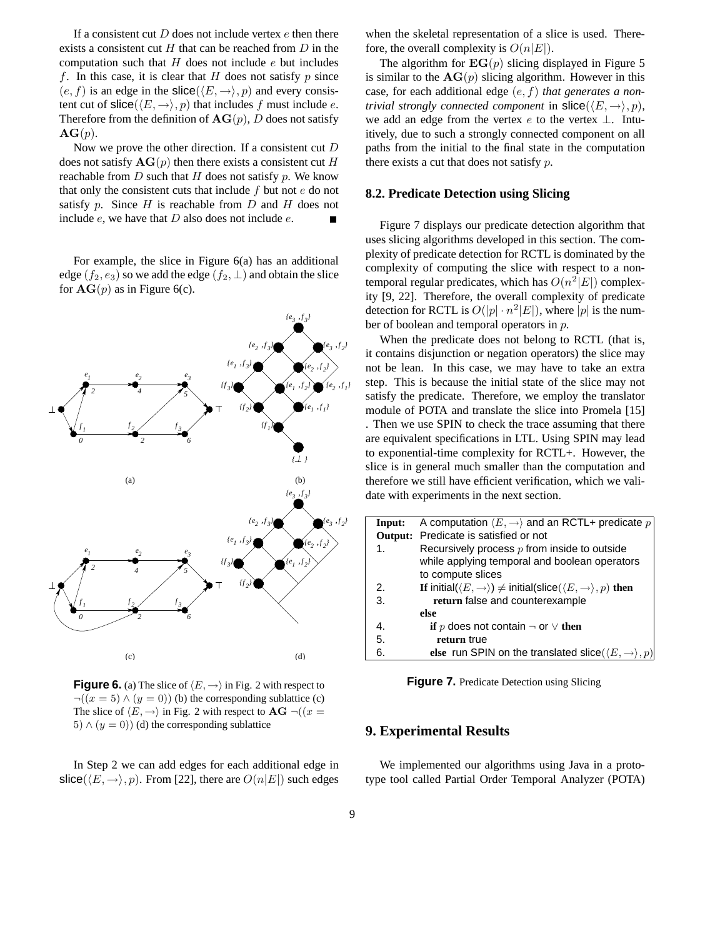If a consistent cut  $D$  does not include vertex  $e$  then there exists a consistent cut  $H$  that can be reached from  $D$  in the computation such that  $H$  does not include  $e$  but includes f. In this case, it is clear that  $H$  does not satisfy  $p$  since  $(e, f)$  is an edge in the slice( $\langle E,\rightarrow\rangle$ , p) and every consistent cut of  $\textsf{slice}(\langle E,\to\rangle, p)$  that includes f must include e. Therefore from the definition of  $AG(p)$ , D does not satisfy  $AG(p)$ .

Now we prove the other direction. If a consistent cut D does not satisfy  $AG(p)$  then there exists a consistent cut H reachable from  $D$  such that  $H$  does not satisfy  $p$ . We know that only the consistent cuts that include  $f$  but not  $e$  do not satisfy p. Since  $H$  is reachable from  $D$  and  $H$  does not include  $e$ , we have that  $D$  also does not include  $e$ .

For example, the slice in Figure 6(a) has an additional edge  $(f_2, e_3)$  so we add the edge  $(f_2, \perp)$  and obtain the slice for  $AG(p)$  as in Figure 6(c).



**Figure 6.** (a) The slice of  $\langle E, \rightarrow \rangle$  in Fig. 2 with respect to  $\neg((x = 5) \land (y = 0))$  (b) the corresponding sublattice (c) The slice of  $\langle E, \rightarrow \rangle$  in Fig. 2 with respect to  $\mathbf{AG} \neg ((x =$ 5)  $\wedge$  (y = 0)) (d) the corresponding sublattice

In Step 2 we can add edges for each additional edge in slice( $\langle E,\rightarrow\rangle$ , p). From [22], there are  $O(n|E|)$  such edges

when the skeletal representation of a slice is used. Therefore, the overall complexity is  $O(n|E|)$ .

The algorithm for  $EG(p)$  slicing displayed in Figure 5 is similar to the  $AG(p)$  slicing algorithm. However in this case, for each additional edge (e, f) *that generates a nontrivial strongly connected component* in  $\textsf{slice}(\langle E, \rightarrow \rangle, p)$ , we add an edge from the vertex  $e$  to the vertex  $\perp$ . Intuitively, due to such a strongly connected component on all paths from the initial to the final state in the computation there exists a cut that does not satisfy  $p$ .

#### **8.2. Predicate Detection using Slicing**

Figure 7 displays our predicate detection algorithm that uses slicing algorithms developed in this section. The complexity of predicate detection for RCTL is dominated by the complexity of computing the slice with respect to a nontemporal regular predicates, which has  $O(n^2|E|)$  complexity [9, 22]. Therefore, the overall complexity of predicate detection for RCTL is  $O(|p| \cdot n^2 |E|)$ , where  $|p|$  is the number of boolean and temporal operators in p.

 $\sum_{e_2, f_1}$  step. This is because the initial state of the slice may not  $\bullet$  to exponential-time complexity for RCTL+. However, the ber of boolean and temporal operators in p.<br>When the predicate does not belong to RCTL (that is, it contains disjunction or negation operators) the slice may not be lean. In this case, we may have to take an extra satisfy the predicate. Therefore, we employ the translator module of POTA and translate the slice into Promela [15] . Then we use SPIN to check the trace assuming that there are equivalent specifications in LTL. Using SPIN may lead slice is in general much smaller than the computation and therefore we still have efficient verification, which we validate with experiments in the next section.

| Input:         | A computation $\langle E,\rightarrow\rangle$ and an RCTL+ predicate p                                      |
|----------------|------------------------------------------------------------------------------------------------------------|
|                | Output: Predicate is satisfied or not                                                                      |
| $\mathbf{1}$ . | Recursively process $p$ from inside to outside                                                             |
|                | while applying temporal and boolean operators                                                              |
|                | to compute slices                                                                                          |
| 2.             | If initial( $\langle E,\rightarrow\rangle$ ) $\neq$ initial(slice( $\langle E,\rightarrow\rangle,p$ ) then |
| 3.             | return false and counterexample                                                                            |
|                | else                                                                                                       |
| 4.             | if p does not contain $\neg$ or $\vee$ then                                                                |
| 5.             | return true                                                                                                |
| 6.             | else run SPIN on the translated slice $(\langle E,\rightarrow\rangle,p)$                                   |

**Figure 7.** Predicate Detection using Slicing

#### **9. Experimental Results**

We implemented our algorithms using Java in a prototype tool called Partial Order Temporal Analyzer (POTA)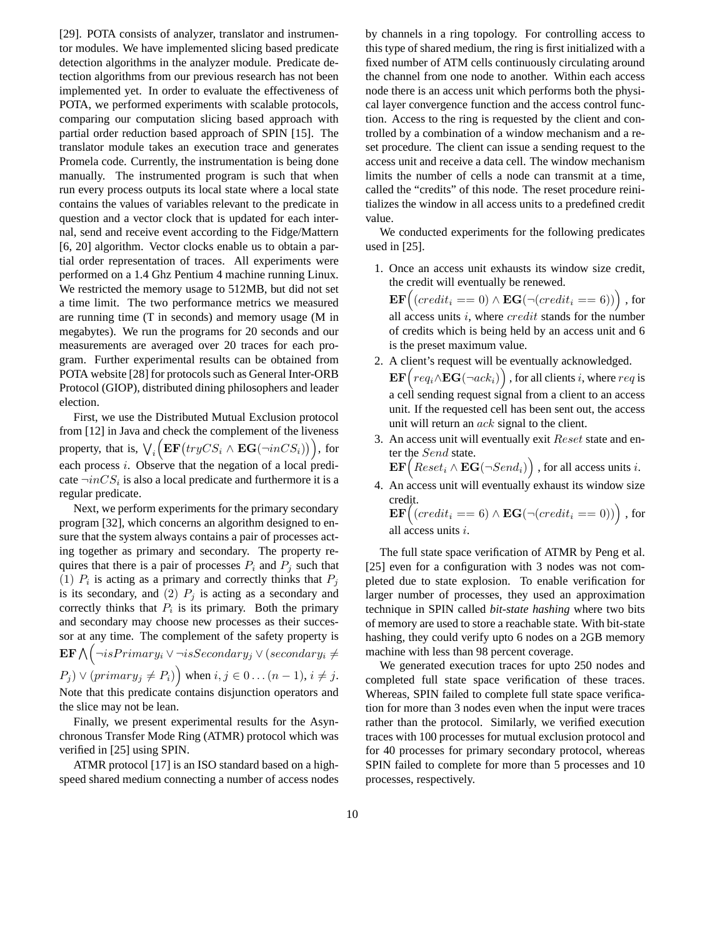[29]. POTA consists of analyzer, translator and instrumentor modules. We have implemented slicing based predicate detection algorithms in the analyzer module. Predicate detection algorithms from our previous research has not been implemented yet. In order to evaluate the effectiveness of POTA, we performed experiments with scalable protocols, comparing our computation slicing based approach with partial order reduction based approach of SPIN [15]. The translator module takes an execution trace and generates Promela code. Currently, the instrumentation is being done manually. The instrumented program is such that when run every process outputs its local state where a local state contains the values of variables relevant to the predicate in question and a vector clock that is updated for each internal, send and receive event according to the Fidge/Mattern [6, 20] algorithm. Vector clocks enable us to obtain a partial order representation of traces. All experiments were performed on a 1.4 Ghz Pentium 4 machine running Linux. We restricted the memory usage to 512MB, but did not set a time limit. The two performance metrics we measured are running time (T in seconds) and memory usage (M in megabytes). We run the programs for 20 seconds and our measurements are averaged over 20 traces for each program. Further experimental results can be obtained from POTA website [28] for protocols such as General Inter-ORB Protocol (GIOP), distributed dining philosophers and leader election.

First, we use the Distributed Mutual Exclusion protocol from [12] in Java and check the complement of the liveness property, that is,  $\bigvee_i\Bigl(\mathbf{EF}\bigl(tryCS_i\wedge\mathbf{EG}(\neg inCS_i)\bigr)\Bigr),$  for each process *i*. Observe that the negation of a local predicate  $\neg inCS_i$  is also a local predicate and furthermore it is a regular predicate.

Next, we perform experiments for the primary secondary program [32], which concerns an algorithm designed to ensure that the system always contains a pair of processes acting together as primary and secondary. The property requires that there is a pair of processes  $P_i$  and  $P_j$  such that (1)  $P_i$  is acting as a primary and correctly thinks that  $P_j$ is its secondary, and (2)  $P_j$  is acting as a secondary and correctly thinks that  $P_i$  is its primary. Both the primary and secondary may choose new processes as their successor at any time. The complement of the safety property is  $\operatorname{\mathbf{EF}}\nolimits \bigwedge \bigl(\neg isPrimary_i \vee \neg isSecondary_j \vee (secondary_i \neq$  $(P_j) \vee (primary_j \neq P_i)$  when  $i, j \in 0 \dots (n-1), i \neq j$ .

Note that this predicate contains disjunction operators and the slice may not be lean.

Finally, we present experimental results for the Asynchronous Transfer Mode Ring (ATMR) protocol which was verified in [25] using SPIN.

ATMR protocol [17] is an ISO standard based on a highspeed shared medium connecting a number of access nodes by channels in a ring topology. For controlling access to this type of shared medium, the ring is first initialized with a fixed number of ATM cells continuously circulating around the channel from one node to another. Within each access node there is an access unit which performs both the physical layer convergence function and the access control function. Access to the ring is requested by the client and controlled by a combination of a window mechanism and a reset procedure. The client can issue a sending request to the access unit and receive a data cell. The window mechanism limits the number of cells a node can transmit at a time, called the "credits" of this node. The reset procedure reinitializes the window in all access units to a predefined credit value.

We conducted experiments for the following predicates used in [25].

1. Once an access unit exhausts its window size credit, the credit will eventually be renewed.

 $\textbf{EF}\Big((credit_i == 0) \wedge \textbf{EG}(\neg (credit_i == 6))\Big)$  , for all access units  $i$ , where  $credit$  stands for the number of credits which is being held by an access unit and 6 is the preset maximum value.

- 2. A client's request will be eventually acknowledged.  $\textbf{EF}\Big( \textit{req}_i \wedge \textbf{EG}(\neg \textit{ack}_i) \Big)$  , for all clients  $i$ , where  $\textit{req}$  is a cell sending request signal from a client to an access unit. If the requested cell has been sent out, the access unit will return an *ack* signal to the client.
- 3. An access unit will eventually exit Reset state and enter the Send state.

 $\textbf{EF}\Big( \textit{Reset}_{i} \wedge \textbf{EG}(\neg \textit{Send}_i)\Big)$  , for all access units  $i.$ 

4. An access unit will eventually exhaust its window size credit.

 $\textbf{EF}\Big((credit_i == 6) \wedge \textbf{EG}(\neg (credit_i == 0))\Big)$  , for all access units i.

The full state space verification of ATMR by Peng et al. [25] even for a configuration with 3 nodes was not completed due to state explosion. To enable verification for larger number of processes, they used an approximation technique in SPIN called *bit-state hashing* where two bits of memory are used to store a reachable state. With bit-state hashing, they could verify upto 6 nodes on a 2GB memory machine with less than 98 percent coverage.

We generated execution traces for upto 250 nodes and completed full state space verification of these traces. Whereas, SPIN failed to complete full state space verification for more than 3 nodes even when the input were traces rather than the protocol. Similarly, we verified execution traces with 100 processes for mutual exclusion protocol and for 40 processes for primary secondary protocol, whereas SPIN failed to complete for more than 5 processes and 10 processes, respectively.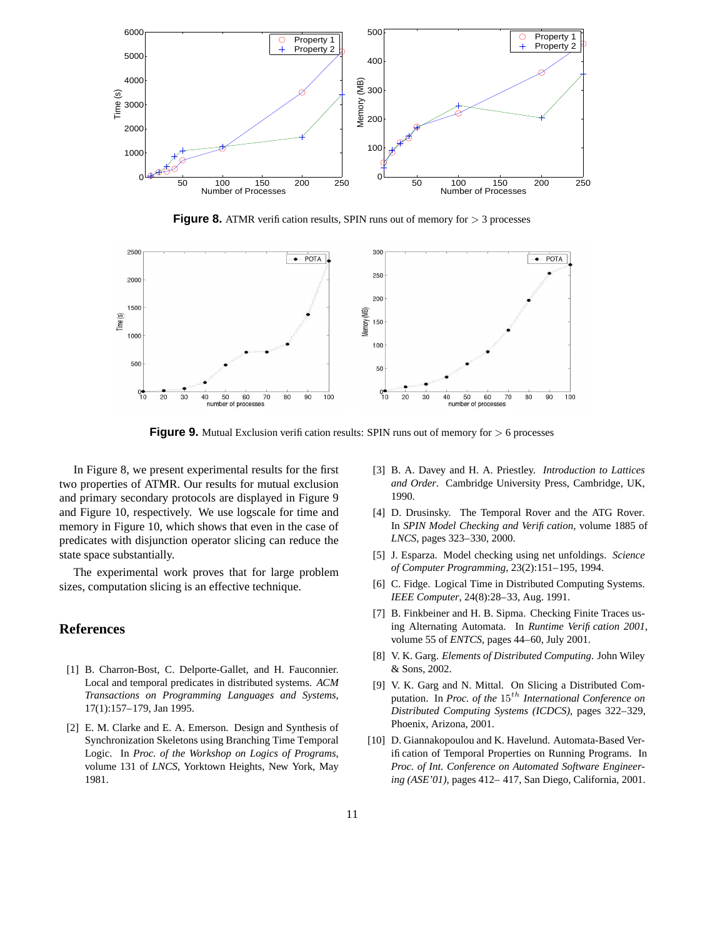

**Figure 8.** ATMR verification results, SPIN runs out of memory for  $> 3$  processes



**Figure 9.** Mutual Exclusion verification results: SPIN runs out of memory for  $> 6$  processes

In Figure 8, we present experimental results for the first two properties of ATMR. Our results for mutual exclusion and primary secondary protocols are displayed in Figure 9 and Figure 10, respectively. We use logscale for time and memory in Figure 10, which shows that even in the case of predicates with disjunction operator slicing can reduce the state space substantially.

The experimental work proves that for large problem sizes, computation slicing is an effective technique.

#### **References**

- [1] B. Charron-Bost, C. Delporte-Gallet, and H. Fauconnier. Local and temporal predicates in distributed systems. *ACM Transactions on Programming Languages and Systems*, 17(1):157–179, Jan 1995.
- [2] E. M. Clarke and E. A. Emerson. Design and Synthesis of Synchronization Skeletons using Branching Time Temporal Logic. In *Proc. of the Workshop on Logics of Programs*, volume 131 of *LNCS*, Yorktown Heights, New York, May 1981.
- [3] B. A. Davey and H. A. Priestley. *Introduction to Lattices and Order*. Cambridge University Press, Cambridge, UK, 1990.
- [4] D. Drusinsky. The Temporal Rover and the ATG Rover. In *SPIN Model Checking and Verification*, volume 1885 of *LNCS*, pages 323–330, 2000.
- [5] J. Esparza. Model checking using net unfoldings. *Science of Computer Programming*, 23(2):151–195, 1994.
- [6] C. Fidge. Logical Time in Distributed Computing Systems. *IEEE Computer*, 24(8):28–33, Aug. 1991.
- [7] B. Finkbeiner and H. B. Sipma. Checking Finite Traces using Alternating Automata. In *Runtime Verification 2001*, volume 55 of *ENTCS*, pages 44–60, July 2001.
- [8] V. K. Garg. *Elements of Distributed Computing*. John Wiley & Sons, 2002.
- [9] V. K. Garg and N. Mittal. On Slicing a Distributed Computation. In *Proc. of the* 15th *International Conference on Distributed Computing Systems (ICDCS)*, pages 322–329, Phoenix, Arizona, 2001.
- [10] D. Giannakopoulou and K. Havelund. Automata-Based Verification of Temporal Properties on Running Programs. In *Proc. of Int. Conference on Automated Software Engineering (ASE'01)*, pages 412– 417, San Diego, California, 2001.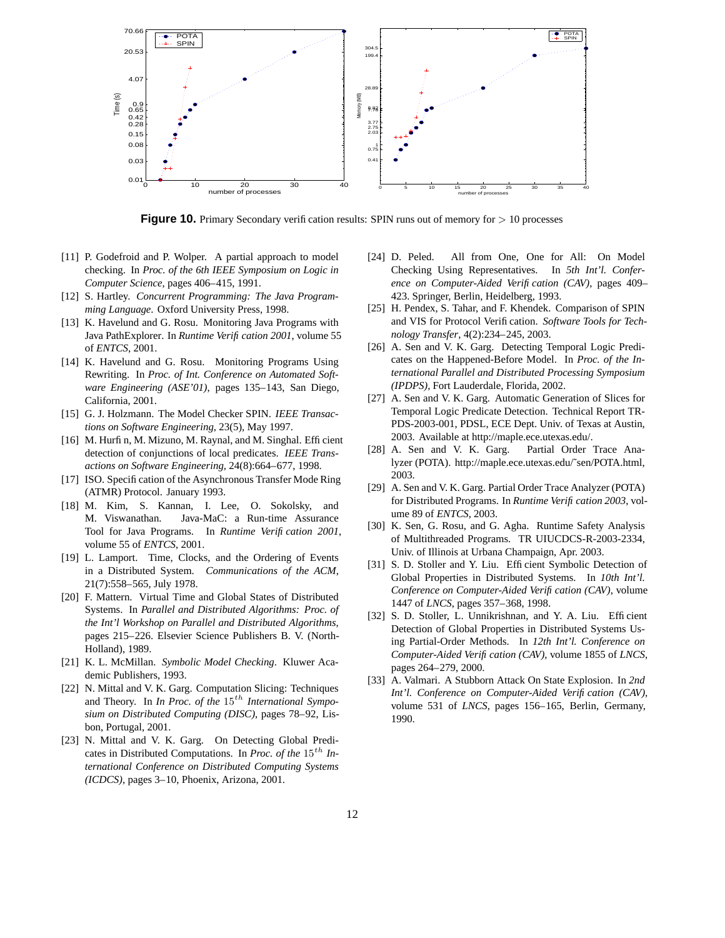

**Figure 10.** Primary Secondary verification results: SPIN runs out of memory for  $> 10$  processes

- [11] P. Godefroid and P. Wolper. A partial approach to model checking. In *Proc. of the 6th IEEE Symposium on Logic in Computer Science*, pages 406–415, 1991.
- [12] S. Hartley. *Concurrent Programming: The Java Programming Language*. Oxford University Press, 1998.
- [13] K. Havelund and G. Rosu. Monitoring Java Programs with Java PathExplorer. In *Runtime Verification 2001*, volume 55 of *ENTCS*, 2001.
- [14] K. Havelund and G. Rosu. Monitoring Programs Using Rewriting. In *Proc. of Int. Conference on Automated Software Engineering (ASE'01)*, pages 135–143, San Diego, California, 2001.
- [15] G. J. Holzmann. The Model Checker SPIN. *IEEE Transactions on Software Engineering*, 23(5), May 1997.
- [16] M. Hurfin, M. Mizuno, M. Raynal, and M. Singhal. Efficient detection of conjunctions of local predicates. *IEEE Transactions on Software Engineering*, 24(8):664–677, 1998.
- [17] ISO. Specification of the Asynchronous Transfer Mode Ring (ATMR) Protocol. January 1993.
- [18] M. Kim, S. Kannan, I. Lee, O. Sokolsky, and M. Viswanathan. Java-MaC: a Run-time Assurance Tool for Java Programs. In *Runtime Verification 2001*, volume 55 of *ENTCS*, 2001.
- [19] L. Lamport. Time, Clocks, and the Ordering of Events in a Distributed System. *Communications of the ACM*, 21(7):558–565, July 1978.
- [20] F. Mattern. Virtual Time and Global States of Distributed Systems. In *Parallel and Distributed Algorithms: Proc. of the Int'l Workshop on Parallel and Distributed Algorithms*, pages 215–226. Elsevier Science Publishers B. V. (North-Holland), 1989.
- [21] K. L. McMillan. *Symbolic Model Checking*. Kluwer Academic Publishers, 1993.
- [22] N. Mittal and V. K. Garg. Computation Slicing: Techniques and Theory. In *In Proc. of the*  $15<sup>th</sup>$  *International Symposium on Distributed Computing (DISC)*, pages 78–92, Lisbon, Portugal, 2001.
- [23] N. Mittal and V. K. Garg. On Detecting Global Predicates in Distributed Computations. In *Proc. of the* 15<sup>th</sup> In*ternational Conference on Distributed Computing Systems (ICDCS)*, pages 3–10, Phoenix, Arizona, 2001.
- [24] D. Peled. All from One, One for All: On Model Checking Using Representatives. In *5th Int'l. Conference on Computer-Aided Verification (CAV)*, pages 409– 423. Springer, Berlin, Heidelberg, 1993.
- [25] H. Pendex, S. Tahar, and F. Khendek. Comparison of SPIN and VIS for Protocol Verification. *Software Tools for Technology Transfer*, 4(2):234–245, 2003.
- [26] A. Sen and V. K. Garg. Detecting Temporal Logic Predicates on the Happened-Before Model. In *Proc. of the International Parallel and Distributed Processing Symposium (IPDPS)*, Fort Lauderdale, Florida, 2002.
- [27] A. Sen and V. K. Garg. Automatic Generation of Slices for Temporal Logic Predicate Detection. Technical Report TR-PDS-2003-001, PDSL, ECE Dept. Univ. of Texas at Austin, 2003. Available at http://maple.ece.utexas.edu/.
- [28] A. Sen and V. K. Garg. Partial Order Trace Analyzer (POTA). http://maple.ece.utexas.edu/˜sen/POTA.html, 2003.
- [29] A. Sen and V. K. Garg. Partial Order Trace Analyzer (POTA) for Distributed Programs. In *Runtime Verification 2003*, volume 89 of *ENTCS*, 2003.
- [30] K. Sen, G. Rosu, and G. Agha. Runtime Safety Analysis of Multithreaded Programs. TR UIUCDCS-R-2003-2334, Univ. of Illinois at Urbana Champaign, Apr. 2003.
- [31] S. D. Stoller and Y. Liu. Efficient Symbolic Detection of Global Properties in Distributed Systems. In *10th Int'l. Conference on Computer-Aided Verification (CAV)*, volume 1447 of *LNCS*, pages 357–368, 1998.
- [32] S. D. Stoller, L. Unnikrishnan, and Y. A. Liu. Efficient Detection of Global Properties in Distributed Systems Using Partial-Order Methods. In *12th Int'l. Conference on Computer-Aided Verification (CAV)*, volume 1855 of *LNCS*, pages 264–279, 2000.
- [33] A. Valmari. A Stubborn Attack On State Explosion. In *2nd Int'l. Conference on Computer-Aided Verification (CAV)*, volume 531 of *LNCS*, pages 156–165, Berlin, Germany, 1990.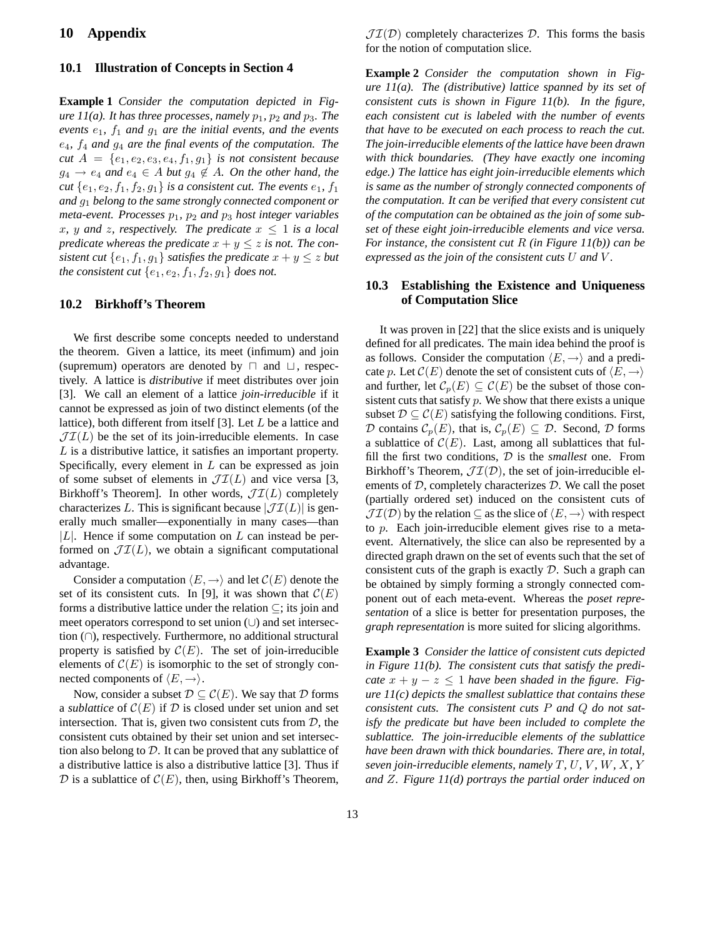# **10 Appendix**

#### **10.1 Illustration of Concepts in Section 4**

**Example 1** *Consider the computation depicted in Figure*  $11(a)$ *. It has three processes, namely*  $p_1$ *,*  $p_2$  *and*  $p_3$ *. The events*  $e_1$ *,*  $f_1$  *and*  $g_1$  *are the initial events, and the events* e4*,* f<sup>4</sup> *and* g<sup>4</sup> *are the final events of the computation. The cut*  $A = \{e_1, e_2, e_3, e_4, f_1, g_1\}$  *is not consistent because*  $g_4 \rightarrow e_4$  and  $e_4 \in A$  *but*  $g_4 \notin A$ *. On the other hand, the cut*  $\{e_1, e_2, f_1, f_2, g_1\}$  *is a consistent cut. The events*  $e_1$ ,  $f_1$ *and* g<sup>1</sup> *belong to the same strongly connected component or meta-event. Processes*  $p_1$ ,  $p_2$  *and*  $p_3$  *host integer variables* x, y and z, respectively. The predicate  $x \leq 1$  is a local *predicate* whereas the predicate  $x + y \leq z$  is not. The con*sistent cut*  $\{e_1, f_1, g_1\}$  *satisfies the predicate*  $x + y \leq z$  *but the consistent cut*  $\{e_1, e_2, f_1, f_2, g_1\}$  *does not.* 

#### **10.2 Birkhoff's Theorem**

We first describe some concepts needed to understand the theorem. Given a lattice, its meet (infimum) and join (supremum) operators are denoted by  $\Box$  and  $\Box$ , respectively. A lattice is *distributive* if meet distributes over join [3]. We call an element of a lattice *join-irreducible* if it cannot be expressed as join of two distinct elements (of the lattice), both different from itself [3]. Let L be a lattice and  $\mathcal{JI}(L)$  be the set of its join-irreducible elements. In case L is a distributive lattice, it satisfies an important property. Specifically, every element in  $L$  can be expressed as join of some subset of elements in  $\mathcal{JI}(L)$  and vice versa [3, Birkhoff's Theorem]. In other words,  $\mathcal{JI}(L)$  completely characterizes L. This is significant because  $|\mathcal{JI}(L)|$  is generally much smaller—exponentially in many cases—than  $|L|$ . Hence if some computation on L can instead be performed on  $\mathcal{JI}(L)$ , we obtain a significant computational advantage.

Consider a computation  $\langle E,\rightarrow\rangle$  and let  $\mathcal{C}(E)$  denote the set of its consistent cuts. In [9], it was shown that  $\mathcal{C}(E)$ forms a distributive lattice under the relation  $\subseteq$ ; its join and meet operators correspond to set union (∪) and set intersection (∩), respectively. Furthermore, no additional structural property is satisfied by  $\mathcal{C}(E)$ . The set of join-irreducible elements of  $\mathcal{C}(E)$  is isomorphic to the set of strongly connected components of  $\langle E,\rightarrow\rangle$ .

Now, consider a subset  $\mathcal{D} \subseteq \mathcal{C}(E)$ . We say that  $\mathcal D$  forms a *sublattice* of  $\mathcal{C}(E)$  if  $\mathcal D$  is closed under set union and set intersection. That is, given two consistent cuts from  $D$ , the consistent cuts obtained by their set union and set intersection also belong to  $D$ . It can be proved that any sublattice of a distributive lattice is also a distributive lattice [3]. Thus if  $\mathcal D$  is a sublattice of  $\mathcal C(E)$ , then, using Birkhoff's Theorem,

 $J\mathcal{I}(D)$  completely characterizes D. This forms the basis for the notion of computation slice.

**Example 2** *Consider the computation shown in Figure 11(a). The (distributive) lattice spanned by its set of consistent cuts is shown in Figure 11(b). In the figure, each consistent cut is labeled with the number of events that have to be executed on each process to reach the cut. The join-irreducible elements of the lattice have been drawn with thick boundaries. (They have exactly one incoming edge.) The lattice has eight join-irreducible elements which is same as the number of strongly connected components of the computation. It can be verified that every consistent cut of the computation can be obtained as the join of some subset of these eight join-irreducible elements and vice versa. For instance, the consistent cut* R *(in Figure 11(b)) can be expressed as the join of the consistent cuts* U *and* V *.*

#### **10.3 Establishing the Existence and Uniqueness of Computation Slice**

It was proven in [22] that the slice exists and is uniquely defined for all predicates. The main idea behind the proof is as follows. Consider the computation  $\langle E,\rightarrow\rangle$  and a predicate p. Let  $\mathcal{C}(E)$  denote the set of consistent cuts of  $\langle E,\rightarrow\rangle$ and further, let  $\mathcal{C}_p(E) \subseteq \mathcal{C}(E)$  be the subset of those consistent cuts that satisfy  $p$ . We show that there exists a unique subset  $\mathcal{D} \subseteq \mathcal{C}(E)$  satisfying the following conditions. First, D contains  $\mathcal{C}_p(E)$ , that is,  $\mathcal{C}_p(E) \subseteq \mathcal{D}$ . Second, D forms a sublattice of  $\mathcal{C}(E)$ . Last, among all sublattices that fulfill the first two conditions, D is the *smallest* one. From Birkhoff's Theorem,  $J\mathcal{I}(D)$ , the set of join-irreducible elements of  $D$ , completely characterizes  $D$ . We call the poset (partially ordered set) induced on the consistent cuts of  $\mathcal{J}(\mathcal{I}(D))$  by the relation  $\subseteq$  as the slice of  $\langle E,\to\rangle$  with respect to p. Each join-irreducible element gives rise to a metaevent. Alternatively, the slice can also be represented by a directed graph drawn on the set of events such that the set of consistent cuts of the graph is exactly  $D$ . Such a graph can be obtained by simply forming a strongly connected component out of each meta-event. Whereas the *poset representation* of a slice is better for presentation purposes, the *graph representation* is more suited for slicing algorithms.

**Example 3** *Consider the lattice of consistent cuts depicted in Figure 11(b). The consistent cuts that satisfy the predicate*  $x + y - z \leq 1$  *have been shaded in the figure. Figure 11(c) depicts the smallest sublattice that contains these consistent cuts. The consistent cuts* P *and* Q *do not satisfy the predicate but have been included to complete the sublattice. The join-irreducible elements of the sublattice have been drawn with thick boundaries. There are, in total, seven join-irreducible elements, namely* T*,* U*,* V *,* W*,* X*,* Y *and* Z*. Figure 11(d) portrays the partial order induced on*